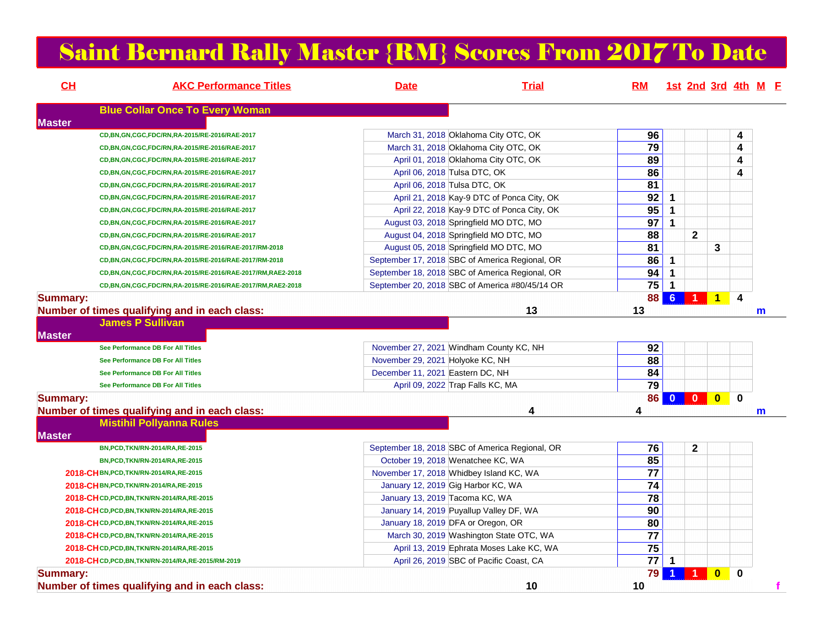## Saint Bernard Rally Master {RM} Scores From 2017 To Date

| CH              | <b>AKC Performance Titles</b>                             | <b>Date</b>                                    | <b>Trial</b>                               | <b>RM</b>             |                         |                |                |              | 1st 2nd 3rd 4th M E |
|-----------------|-----------------------------------------------------------|------------------------------------------------|--------------------------------------------|-----------------------|-------------------------|----------------|----------------|--------------|---------------------|
|                 | <b>Blue Collar Once To Every Woman</b>                    |                                                |                                            |                       |                         |                |                |              |                     |
| <b>Master</b>   |                                                           |                                                |                                            |                       |                         |                |                |              |                     |
|                 | CD, BN, GN, CGC, FDC/RN, RA-2015/RE-2016/RAE-2017         | March 31, 2018 Oklahoma City OTC, OK           |                                            | 96<br>$\overline{79}$ |                         |                |                | 4            |                     |
|                 | CD, BN, GN, CGC, FDC/RN, RA-2015/RE-2016/RAE-2017         | March 31, 2018 Oklahoma City OTC, OK           |                                            |                       |                         |                |                | 4            |                     |
|                 | CD,BN,GN,CGC,FDC/RN,RA-2015/RE-2016/RAE-2017              | April 01, 2018 Oklahoma City OTC, OK           |                                            | 89<br>86              |                         |                |                | 4            |                     |
|                 | CD,BN,GN,CGC,FDC/RN,RA-2015/RE-2016/RAE-2017              | April 06, 2018 Tulsa DTC, OK                   |                                            | 81                    |                         |                |                | 4            |                     |
|                 | CD, BN, GN, CGC, FDC/RN, RA-2015/RE-2016/RAE-2017         | April 06, 2018 Tulsa DTC, OK                   |                                            | $\overline{92}$       |                         |                |                |              |                     |
|                 | CD,BN,GN,CGC,FDC/RN,RA-2015/RE-2016/RAE-2017              |                                                | April 21, 2018 Kay-9 DTC of Ponca City, OK | $\overline{95}$       | $\mathbf 1$             |                |                |              |                     |
|                 | CD,BN,GN,CGC,FDC/RN,RA-2015/RE-2016/RAE-2017              |                                                | April 22, 2018 Kay-9 DTC of Ponca City, OK |                       | $\overline{\mathbf{1}}$ |                |                |              |                     |
|                 | CD, BN, GN, CGC, FDC/RN, RA-2015/RE-2016/RAE-2017         | August 03, 2018 Springfield MO DTC, MO         |                                            | 97                    | $\overline{1}$          |                |                |              |                     |
|                 | CD,BN,GN,CGC,FDC/RN,RA-2015/RE-2016/RAE-2017              | August 04, 2018 Springfield MO DTC, MO         |                                            | 88                    |                         | $\mathbf 2$    |                |              |                     |
|                 | CD, BN, GN, CGC, FDC/RN, RA-2015/RE-2016/RAE-2017/RM-2018 | August 05, 2018 Springfield MO DTC, MO         |                                            | 81                    |                         |                | 3              |              |                     |
|                 | CD,BN,GN,CGC,FDC/RN,RA-2015/RE-2016/RAE-2017/RM-2018      | September 17, 2018 SBC of America Regional, OR |                                            | 86                    | $\overline{\mathbf{1}}$ |                |                |              |                     |
|                 | CD,BN,GN,CGC,FDC/RN,RA-2015/RE-2016/RAE-2017/RM,RAE2-2018 | September 18, 2018 SBC of America Regional, OR |                                            | 94                    | $\mathbf 1$             |                |                |              |                     |
|                 | CD,BN,GN,CGC,FDC/RN,RA-2015/RE-2016/RAE-2017/RM,RAE2-2018 | September 20, 2018 SBC of America #80/45/14 OR |                                            | 75                    | $\overline{\mathbf{1}}$ |                |                |              |                     |
| <b>Summary:</b> | Number of times qualifying and in each class:             |                                                | 13                                         | 88<br>13              | 6 <sup>6</sup>          | $\mathbf{1}$   | $\vert$ 1      | 4            | m                   |
|                 | <b>James P Sullivan</b>                                   |                                                |                                            |                       |                         |                |                |              |                     |
| <b>Master</b>   |                                                           |                                                |                                            |                       |                         |                |                |              |                     |
|                 | See Performance DB For All Titles                         | November 27, 2021 Windham County KC, NH        |                                            | 92                    |                         |                |                |              |                     |
|                 | See Performance DB For All Titles                         | November 29, 2021 Holyoke KC, NH               |                                            | 88                    |                         |                |                |              |                     |
|                 | See Performance DB For All Titles                         | December 11, 2021 Eastern DC, NH               |                                            | 84                    |                         |                |                |              |                     |
|                 | See Performance DB For All Titles                         | April 09, 2022 Trap Falls KC, MA               |                                            | $\overline{79}$       |                         |                |                |              |                     |
| <b>Summary:</b> |                                                           |                                                |                                            | 86                    | $\bf{0}$                | $\mathbf{0}$   | $\mathbf{0}$   | $\bf{0}$     |                     |
|                 | Number of times qualifying and in each class:             |                                                | 4                                          | 4                     |                         |                |                |              | m                   |
|                 | <b>Mistihil Pollyanna Rules</b>                           |                                                |                                            |                       |                         |                |                |              |                     |
| <b>Master</b>   |                                                           |                                                |                                            |                       |                         |                |                |              |                     |
|                 | BN, PCD, TKN/RN-2014/RA, RE-2015                          | September 18, 2018 SBC of America Regional, OR |                                            | 76                    |                         | $\overline{2}$ |                |              |                     |
|                 | BN, PCD, TKN/RN-2014/RA, RE-2015                          | October 19, 2018 Wenatchee KC, WA              |                                            | 85                    |                         |                |                |              |                     |
|                 | 2018-CHBN, PCD, TKN/RN-2014/RA, RE-2015                   | November 17, 2018 Whidbey Island KC, WA        |                                            | 77                    |                         |                |                |              |                     |
|                 | 2018-CH BN, PCD, TKN/RN-2014/RA, RE-2015                  | January 12, 2019 Gig Harbor KC, WA             |                                            | 74                    |                         |                |                |              |                     |
|                 | 2018-CH CD, PCD, BN, TKN/RN-2014/RA, RE-2015              | January 13, 2019 Tacoma KC, WA                 |                                            | $\overline{78}$       |                         |                |                |              |                     |
|                 | 2018-CHCD, PCD, BN, TKN/RN-2014/RA, RE-2015               | January 14, 2019 Puyallup Valley DF, WA        |                                            | 90                    |                         |                |                |              |                     |
|                 | 2018-CHCD, PCD, BN, TKN/RN-2014/RA, RE-2015               | January 18, 2019 DFA or Oregon, OR             |                                            | 80                    |                         |                |                |              |                     |
|                 | 2018-CHCD, PCD, BN, TKN/RN-2014/RA, RE-2015               | March 30, 2019 Washington State OTC, WA        |                                            | 77                    |                         |                |                |              |                     |
|                 | 2018-CH CD, PCD, BN, TKN/RN-2014/RA, RE-2015              |                                                | April 13, 2019 Ephrata Moses Lake KC, WA   | 75                    |                         |                |                |              |                     |
|                 | 2018-CHCD, PCD, BN, TKN/RN-2014/RA, RE-2015/RM-2019       | April 26, 2019 SBC of Pacific Coast, CA        |                                            | $77$ 1                |                         |                |                |              |                     |
|                 |                                                           |                                                |                                            | 79                    |                         |                |                | $\mathbf{0}$ |                     |
| <b>Summary:</b> | Number of times qualifying and in each class:             |                                                | 10                                         | 10                    |                         |                | $\overline{0}$ |              | f                   |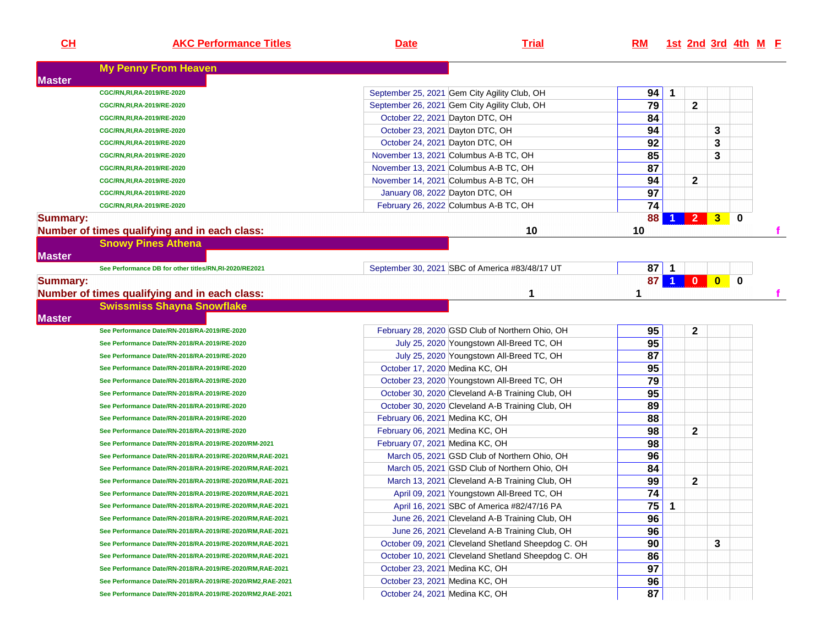| <b>My Penny From Heaven</b><br><b>Master</b><br>94<br>September 25, 2021 Gem City Agility Club, OH<br>$\mathbf 1$<br>CGC/RN, RI, RA-2019/RE-2020<br>79<br>$\mathbf{2}$<br>September 26, 2021 Gem City Agility Club, OH<br>CGC/RN, RI, RA-2019/RE-2020<br>84<br>October 22, 2021 Dayton DTC, OH<br>CGC/RN, RI, RA-2019/RE-2020<br>94<br>October 23, 2021 Dayton DTC, OH<br>3<br>CGC/RN, RI, RA-2019/RE-2020<br>92<br>October 24, 2021 Dayton DTC, OH<br>3<br>CGC/RN, RI, RA-2019/RE-2020<br>85<br>3<br>November 13, 2021 Columbus A-B TC, OH<br>CGC/RN, RI, RA-2019/RE-2020<br>87<br>November 13, 2021 Columbus A-B TC, OH<br>CGC/RN, RI, RA-2019/RE-2020<br>94<br>$\mathbf{2}$<br>November 14, 2021 Columbus A-B TC, OH<br>CGC/RN, RI, RA-2019/RE-2020<br>97<br>January 08, 2022 Dayton DTC, OH<br>CGC/RN, RI, RA-2019/RE-2020<br>74<br>February 26, 2022 Columbus A-B TC, OH<br>CGC/RN, RI, RA-2019/RE-2020<br>2 <sup>2</sup><br>$\bf{0}$<br>88<br>$\mathbf{3}$<br><b>Summary:</b><br>10<br>Number of times qualifying and in each class:<br>10<br><b>Snowy Pines Athena</b><br><b>Master</b><br>$87$ 1<br>September 30, 2021 SBC of America #83/48/17 UT<br>See Performance DB for other titles/RN,RI-2020/RE2021<br>87 <sup>1</sup><br>$\blacktriangleleft$<br>$\overline{\bullet}$<br>$\mathbf{0}$<br>$\mathbf{0}$<br><b>Summary:</b><br>Number of times qualifying and in each class:<br>1<br>1<br><b>Swissmiss Shayna Snowflake</b><br><b>Master</b><br>95<br>$\mathbf{2}$<br>February 28, 2020 GSD Club of Northern Ohio, OH<br>See Performance Date/RN-2018/RA-2019/RE-2020<br>95<br>July 25, 2020 Youngstown All-Breed TC, OH<br>See Performance Date/RN-2018/RA-2019/RE-2020<br>87<br>July 25, 2020 Youngstown All-Breed TC, OH<br>See Performance Date/RN-2018/RA-2019/RE-2020<br>95<br>October 17, 2020 Medina KC, OH<br>See Performance Date/RN-2018/RA-2019/RE-2020<br>79<br>October 23, 2020 Youngstown All-Breed TC, OH<br>See Performance Date/RN-2018/RA-2019/RE-2020<br>95<br>October 30, 2020 Cleveland A-B Training Club, OH<br>See Performance Date/RN-2018/RA-2019/RE-2020<br>89<br>October 30, 2020 Cleveland A-B Training Club, OH<br>See Performance Date/RN-2018/RA-2019/RE-2020<br>88<br>February 06, 2021 Medina KC, OH<br>See Performance Date/RN-2018/RA-2019/RE-2020<br>98<br>$\mathbf{2}$<br>February 06, 2021 Medina KC, OH<br>See Performance Date/RN-2018/RA-2019/RE-2020<br>98<br>February 07, 2021 Medina KC, OH<br>See Performance Date/RN-2018/RA-2019/RE-2020/RM-2021<br>96<br>March 05, 2021 GSD Club of Northern Ohio, OH<br>See Performance Date/RN-2018/RA-2019/RE-2020/RM,RAE-2021<br>84<br>March 05, 2021 GSD Club of Northern Ohio, OH<br>See Performance Date/RN-2018/RA-2019/RE-2020/RM,RAE-2021<br>99<br>$\mathbf{2}$<br>March 13, 2021 Cleveland A-B Training Club, OH<br>See Performance Date/RN-2018/RA-2019/RE-2020/RM,RAE-2021<br>74<br>April 09, 2021 Youngstown All-Breed TC, OH<br>See Performance Date/RN-2018/RA-2019/RE-2020/RM,RAE-2021<br>75<br>April 16, 2021 SBC of America #82/47/16 PA<br>$\mathbf{1}$<br>See Performance Date/RN-2018/RA-2019/RE-2020/RM,RAE-2021<br>96<br>June 26, 2021 Cleveland A-B Training Club, OH<br>See Performance Date/RN-2018/RA-2019/RE-2020/RM,RAE-2021<br>96<br>June 26, 2021 Cleveland A-B Training Club, OH<br>See Performance Date/RN-2018/RA-2019/RE-2020/RM,RAE-2021 | CL | <b>AKC Performance Titles</b> | <b>Date</b> | <b>Trial</b> | RM |  |  | 1st 2nd 3rd 4th M E |  |
|------------------------------------------------------------------------------------------------------------------------------------------------------------------------------------------------------------------------------------------------------------------------------------------------------------------------------------------------------------------------------------------------------------------------------------------------------------------------------------------------------------------------------------------------------------------------------------------------------------------------------------------------------------------------------------------------------------------------------------------------------------------------------------------------------------------------------------------------------------------------------------------------------------------------------------------------------------------------------------------------------------------------------------------------------------------------------------------------------------------------------------------------------------------------------------------------------------------------------------------------------------------------------------------------------------------------------------------------------------------------------------------------------------------------------------------------------------------------------------------------------------------------------------------------------------------------------------------------------------------------------------------------------------------------------------------------------------------------------------------------------------------------------------------------------------------------------------------------------------------------------------------------------------------------------------------------------------------------------------------------------------------------------------------------------------------------------------------------------------------------------------------------------------------------------------------------------------------------------------------------------------------------------------------------------------------------------------------------------------------------------------------------------------------------------------------------------------------------------------------------------------------------------------------------------------------------------------------------------------------------------------------------------------------------------------------------------------------------------------------------------------------------------------------------------------------------------------------------------------------------------------------------------------------------------------------------------------------------------------------------------------------------------------------------------------------------------------------------------------------------------------------------------------------------------------------------------------------------------------------------------------------------------------------------------------------------------------------------------------------------------|----|-------------------------------|-------------|--------------|----|--|--|---------------------|--|
|                                                                                                                                                                                                                                                                                                                                                                                                                                                                                                                                                                                                                                                                                                                                                                                                                                                                                                                                                                                                                                                                                                                                                                                                                                                                                                                                                                                                                                                                                                                                                                                                                                                                                                                                                                                                                                                                                                                                                                                                                                                                                                                                                                                                                                                                                                                                                                                                                                                                                                                                                                                                                                                                                                                                                                                                                                                                                                                                                                                                                                                                                                                                                                                                                                                                                                                                                                              |    |                               |             |              |    |  |  |                     |  |
|                                                                                                                                                                                                                                                                                                                                                                                                                                                                                                                                                                                                                                                                                                                                                                                                                                                                                                                                                                                                                                                                                                                                                                                                                                                                                                                                                                                                                                                                                                                                                                                                                                                                                                                                                                                                                                                                                                                                                                                                                                                                                                                                                                                                                                                                                                                                                                                                                                                                                                                                                                                                                                                                                                                                                                                                                                                                                                                                                                                                                                                                                                                                                                                                                                                                                                                                                                              |    |                               |             |              |    |  |  |                     |  |
|                                                                                                                                                                                                                                                                                                                                                                                                                                                                                                                                                                                                                                                                                                                                                                                                                                                                                                                                                                                                                                                                                                                                                                                                                                                                                                                                                                                                                                                                                                                                                                                                                                                                                                                                                                                                                                                                                                                                                                                                                                                                                                                                                                                                                                                                                                                                                                                                                                                                                                                                                                                                                                                                                                                                                                                                                                                                                                                                                                                                                                                                                                                                                                                                                                                                                                                                                                              |    |                               |             |              |    |  |  |                     |  |
|                                                                                                                                                                                                                                                                                                                                                                                                                                                                                                                                                                                                                                                                                                                                                                                                                                                                                                                                                                                                                                                                                                                                                                                                                                                                                                                                                                                                                                                                                                                                                                                                                                                                                                                                                                                                                                                                                                                                                                                                                                                                                                                                                                                                                                                                                                                                                                                                                                                                                                                                                                                                                                                                                                                                                                                                                                                                                                                                                                                                                                                                                                                                                                                                                                                                                                                                                                              |    |                               |             |              |    |  |  |                     |  |
|                                                                                                                                                                                                                                                                                                                                                                                                                                                                                                                                                                                                                                                                                                                                                                                                                                                                                                                                                                                                                                                                                                                                                                                                                                                                                                                                                                                                                                                                                                                                                                                                                                                                                                                                                                                                                                                                                                                                                                                                                                                                                                                                                                                                                                                                                                                                                                                                                                                                                                                                                                                                                                                                                                                                                                                                                                                                                                                                                                                                                                                                                                                                                                                                                                                                                                                                                                              |    |                               |             |              |    |  |  |                     |  |
|                                                                                                                                                                                                                                                                                                                                                                                                                                                                                                                                                                                                                                                                                                                                                                                                                                                                                                                                                                                                                                                                                                                                                                                                                                                                                                                                                                                                                                                                                                                                                                                                                                                                                                                                                                                                                                                                                                                                                                                                                                                                                                                                                                                                                                                                                                                                                                                                                                                                                                                                                                                                                                                                                                                                                                                                                                                                                                                                                                                                                                                                                                                                                                                                                                                                                                                                                                              |    |                               |             |              |    |  |  |                     |  |
|                                                                                                                                                                                                                                                                                                                                                                                                                                                                                                                                                                                                                                                                                                                                                                                                                                                                                                                                                                                                                                                                                                                                                                                                                                                                                                                                                                                                                                                                                                                                                                                                                                                                                                                                                                                                                                                                                                                                                                                                                                                                                                                                                                                                                                                                                                                                                                                                                                                                                                                                                                                                                                                                                                                                                                                                                                                                                                                                                                                                                                                                                                                                                                                                                                                                                                                                                                              |    |                               |             |              |    |  |  |                     |  |
|                                                                                                                                                                                                                                                                                                                                                                                                                                                                                                                                                                                                                                                                                                                                                                                                                                                                                                                                                                                                                                                                                                                                                                                                                                                                                                                                                                                                                                                                                                                                                                                                                                                                                                                                                                                                                                                                                                                                                                                                                                                                                                                                                                                                                                                                                                                                                                                                                                                                                                                                                                                                                                                                                                                                                                                                                                                                                                                                                                                                                                                                                                                                                                                                                                                                                                                                                                              |    |                               |             |              |    |  |  |                     |  |
|                                                                                                                                                                                                                                                                                                                                                                                                                                                                                                                                                                                                                                                                                                                                                                                                                                                                                                                                                                                                                                                                                                                                                                                                                                                                                                                                                                                                                                                                                                                                                                                                                                                                                                                                                                                                                                                                                                                                                                                                                                                                                                                                                                                                                                                                                                                                                                                                                                                                                                                                                                                                                                                                                                                                                                                                                                                                                                                                                                                                                                                                                                                                                                                                                                                                                                                                                                              |    |                               |             |              |    |  |  |                     |  |
|                                                                                                                                                                                                                                                                                                                                                                                                                                                                                                                                                                                                                                                                                                                                                                                                                                                                                                                                                                                                                                                                                                                                                                                                                                                                                                                                                                                                                                                                                                                                                                                                                                                                                                                                                                                                                                                                                                                                                                                                                                                                                                                                                                                                                                                                                                                                                                                                                                                                                                                                                                                                                                                                                                                                                                                                                                                                                                                                                                                                                                                                                                                                                                                                                                                                                                                                                                              |    |                               |             |              |    |  |  |                     |  |
|                                                                                                                                                                                                                                                                                                                                                                                                                                                                                                                                                                                                                                                                                                                                                                                                                                                                                                                                                                                                                                                                                                                                                                                                                                                                                                                                                                                                                                                                                                                                                                                                                                                                                                                                                                                                                                                                                                                                                                                                                                                                                                                                                                                                                                                                                                                                                                                                                                                                                                                                                                                                                                                                                                                                                                                                                                                                                                                                                                                                                                                                                                                                                                                                                                                                                                                                                                              |    |                               |             |              |    |  |  |                     |  |
|                                                                                                                                                                                                                                                                                                                                                                                                                                                                                                                                                                                                                                                                                                                                                                                                                                                                                                                                                                                                                                                                                                                                                                                                                                                                                                                                                                                                                                                                                                                                                                                                                                                                                                                                                                                                                                                                                                                                                                                                                                                                                                                                                                                                                                                                                                                                                                                                                                                                                                                                                                                                                                                                                                                                                                                                                                                                                                                                                                                                                                                                                                                                                                                                                                                                                                                                                                              |    |                               |             |              |    |  |  |                     |  |
|                                                                                                                                                                                                                                                                                                                                                                                                                                                                                                                                                                                                                                                                                                                                                                                                                                                                                                                                                                                                                                                                                                                                                                                                                                                                                                                                                                                                                                                                                                                                                                                                                                                                                                                                                                                                                                                                                                                                                                                                                                                                                                                                                                                                                                                                                                                                                                                                                                                                                                                                                                                                                                                                                                                                                                                                                                                                                                                                                                                                                                                                                                                                                                                                                                                                                                                                                                              |    |                               |             |              |    |  |  |                     |  |
|                                                                                                                                                                                                                                                                                                                                                                                                                                                                                                                                                                                                                                                                                                                                                                                                                                                                                                                                                                                                                                                                                                                                                                                                                                                                                                                                                                                                                                                                                                                                                                                                                                                                                                                                                                                                                                                                                                                                                                                                                                                                                                                                                                                                                                                                                                                                                                                                                                                                                                                                                                                                                                                                                                                                                                                                                                                                                                                                                                                                                                                                                                                                                                                                                                                                                                                                                                              |    |                               |             |              |    |  |  |                     |  |
|                                                                                                                                                                                                                                                                                                                                                                                                                                                                                                                                                                                                                                                                                                                                                                                                                                                                                                                                                                                                                                                                                                                                                                                                                                                                                                                                                                                                                                                                                                                                                                                                                                                                                                                                                                                                                                                                                                                                                                                                                                                                                                                                                                                                                                                                                                                                                                                                                                                                                                                                                                                                                                                                                                                                                                                                                                                                                                                                                                                                                                                                                                                                                                                                                                                                                                                                                                              |    |                               |             |              |    |  |  |                     |  |
|                                                                                                                                                                                                                                                                                                                                                                                                                                                                                                                                                                                                                                                                                                                                                                                                                                                                                                                                                                                                                                                                                                                                                                                                                                                                                                                                                                                                                                                                                                                                                                                                                                                                                                                                                                                                                                                                                                                                                                                                                                                                                                                                                                                                                                                                                                                                                                                                                                                                                                                                                                                                                                                                                                                                                                                                                                                                                                                                                                                                                                                                                                                                                                                                                                                                                                                                                                              |    |                               |             |              |    |  |  |                     |  |
|                                                                                                                                                                                                                                                                                                                                                                                                                                                                                                                                                                                                                                                                                                                                                                                                                                                                                                                                                                                                                                                                                                                                                                                                                                                                                                                                                                                                                                                                                                                                                                                                                                                                                                                                                                                                                                                                                                                                                                                                                                                                                                                                                                                                                                                                                                                                                                                                                                                                                                                                                                                                                                                                                                                                                                                                                                                                                                                                                                                                                                                                                                                                                                                                                                                                                                                                                                              |    |                               |             |              |    |  |  |                     |  |
|                                                                                                                                                                                                                                                                                                                                                                                                                                                                                                                                                                                                                                                                                                                                                                                                                                                                                                                                                                                                                                                                                                                                                                                                                                                                                                                                                                                                                                                                                                                                                                                                                                                                                                                                                                                                                                                                                                                                                                                                                                                                                                                                                                                                                                                                                                                                                                                                                                                                                                                                                                                                                                                                                                                                                                                                                                                                                                                                                                                                                                                                                                                                                                                                                                                                                                                                                                              |    |                               |             |              |    |  |  |                     |  |
|                                                                                                                                                                                                                                                                                                                                                                                                                                                                                                                                                                                                                                                                                                                                                                                                                                                                                                                                                                                                                                                                                                                                                                                                                                                                                                                                                                                                                                                                                                                                                                                                                                                                                                                                                                                                                                                                                                                                                                                                                                                                                                                                                                                                                                                                                                                                                                                                                                                                                                                                                                                                                                                                                                                                                                                                                                                                                                                                                                                                                                                                                                                                                                                                                                                                                                                                                                              |    |                               |             |              |    |  |  |                     |  |
|                                                                                                                                                                                                                                                                                                                                                                                                                                                                                                                                                                                                                                                                                                                                                                                                                                                                                                                                                                                                                                                                                                                                                                                                                                                                                                                                                                                                                                                                                                                                                                                                                                                                                                                                                                                                                                                                                                                                                                                                                                                                                                                                                                                                                                                                                                                                                                                                                                                                                                                                                                                                                                                                                                                                                                                                                                                                                                                                                                                                                                                                                                                                                                                                                                                                                                                                                                              |    |                               |             |              |    |  |  |                     |  |
|                                                                                                                                                                                                                                                                                                                                                                                                                                                                                                                                                                                                                                                                                                                                                                                                                                                                                                                                                                                                                                                                                                                                                                                                                                                                                                                                                                                                                                                                                                                                                                                                                                                                                                                                                                                                                                                                                                                                                                                                                                                                                                                                                                                                                                                                                                                                                                                                                                                                                                                                                                                                                                                                                                                                                                                                                                                                                                                                                                                                                                                                                                                                                                                                                                                                                                                                                                              |    |                               |             |              |    |  |  |                     |  |
|                                                                                                                                                                                                                                                                                                                                                                                                                                                                                                                                                                                                                                                                                                                                                                                                                                                                                                                                                                                                                                                                                                                                                                                                                                                                                                                                                                                                                                                                                                                                                                                                                                                                                                                                                                                                                                                                                                                                                                                                                                                                                                                                                                                                                                                                                                                                                                                                                                                                                                                                                                                                                                                                                                                                                                                                                                                                                                                                                                                                                                                                                                                                                                                                                                                                                                                                                                              |    |                               |             |              |    |  |  |                     |  |
|                                                                                                                                                                                                                                                                                                                                                                                                                                                                                                                                                                                                                                                                                                                                                                                                                                                                                                                                                                                                                                                                                                                                                                                                                                                                                                                                                                                                                                                                                                                                                                                                                                                                                                                                                                                                                                                                                                                                                                                                                                                                                                                                                                                                                                                                                                                                                                                                                                                                                                                                                                                                                                                                                                                                                                                                                                                                                                                                                                                                                                                                                                                                                                                                                                                                                                                                                                              |    |                               |             |              |    |  |  |                     |  |
|                                                                                                                                                                                                                                                                                                                                                                                                                                                                                                                                                                                                                                                                                                                                                                                                                                                                                                                                                                                                                                                                                                                                                                                                                                                                                                                                                                                                                                                                                                                                                                                                                                                                                                                                                                                                                                                                                                                                                                                                                                                                                                                                                                                                                                                                                                                                                                                                                                                                                                                                                                                                                                                                                                                                                                                                                                                                                                                                                                                                                                                                                                                                                                                                                                                                                                                                                                              |    |                               |             |              |    |  |  |                     |  |
|                                                                                                                                                                                                                                                                                                                                                                                                                                                                                                                                                                                                                                                                                                                                                                                                                                                                                                                                                                                                                                                                                                                                                                                                                                                                                                                                                                                                                                                                                                                                                                                                                                                                                                                                                                                                                                                                                                                                                                                                                                                                                                                                                                                                                                                                                                                                                                                                                                                                                                                                                                                                                                                                                                                                                                                                                                                                                                                                                                                                                                                                                                                                                                                                                                                                                                                                                                              |    |                               |             |              |    |  |  |                     |  |
|                                                                                                                                                                                                                                                                                                                                                                                                                                                                                                                                                                                                                                                                                                                                                                                                                                                                                                                                                                                                                                                                                                                                                                                                                                                                                                                                                                                                                                                                                                                                                                                                                                                                                                                                                                                                                                                                                                                                                                                                                                                                                                                                                                                                                                                                                                                                                                                                                                                                                                                                                                                                                                                                                                                                                                                                                                                                                                                                                                                                                                                                                                                                                                                                                                                                                                                                                                              |    |                               |             |              |    |  |  |                     |  |
|                                                                                                                                                                                                                                                                                                                                                                                                                                                                                                                                                                                                                                                                                                                                                                                                                                                                                                                                                                                                                                                                                                                                                                                                                                                                                                                                                                                                                                                                                                                                                                                                                                                                                                                                                                                                                                                                                                                                                                                                                                                                                                                                                                                                                                                                                                                                                                                                                                                                                                                                                                                                                                                                                                                                                                                                                                                                                                                                                                                                                                                                                                                                                                                                                                                                                                                                                                              |    |                               |             |              |    |  |  |                     |  |
|                                                                                                                                                                                                                                                                                                                                                                                                                                                                                                                                                                                                                                                                                                                                                                                                                                                                                                                                                                                                                                                                                                                                                                                                                                                                                                                                                                                                                                                                                                                                                                                                                                                                                                                                                                                                                                                                                                                                                                                                                                                                                                                                                                                                                                                                                                                                                                                                                                                                                                                                                                                                                                                                                                                                                                                                                                                                                                                                                                                                                                                                                                                                                                                                                                                                                                                                                                              |    |                               |             |              |    |  |  |                     |  |
|                                                                                                                                                                                                                                                                                                                                                                                                                                                                                                                                                                                                                                                                                                                                                                                                                                                                                                                                                                                                                                                                                                                                                                                                                                                                                                                                                                                                                                                                                                                                                                                                                                                                                                                                                                                                                                                                                                                                                                                                                                                                                                                                                                                                                                                                                                                                                                                                                                                                                                                                                                                                                                                                                                                                                                                                                                                                                                                                                                                                                                                                                                                                                                                                                                                                                                                                                                              |    |                               |             |              |    |  |  |                     |  |
|                                                                                                                                                                                                                                                                                                                                                                                                                                                                                                                                                                                                                                                                                                                                                                                                                                                                                                                                                                                                                                                                                                                                                                                                                                                                                                                                                                                                                                                                                                                                                                                                                                                                                                                                                                                                                                                                                                                                                                                                                                                                                                                                                                                                                                                                                                                                                                                                                                                                                                                                                                                                                                                                                                                                                                                                                                                                                                                                                                                                                                                                                                                                                                                                                                                                                                                                                                              |    |                               |             |              |    |  |  |                     |  |
|                                                                                                                                                                                                                                                                                                                                                                                                                                                                                                                                                                                                                                                                                                                                                                                                                                                                                                                                                                                                                                                                                                                                                                                                                                                                                                                                                                                                                                                                                                                                                                                                                                                                                                                                                                                                                                                                                                                                                                                                                                                                                                                                                                                                                                                                                                                                                                                                                                                                                                                                                                                                                                                                                                                                                                                                                                                                                                                                                                                                                                                                                                                                                                                                                                                                                                                                                                              |    |                               |             |              |    |  |  |                     |  |
|                                                                                                                                                                                                                                                                                                                                                                                                                                                                                                                                                                                                                                                                                                                                                                                                                                                                                                                                                                                                                                                                                                                                                                                                                                                                                                                                                                                                                                                                                                                                                                                                                                                                                                                                                                                                                                                                                                                                                                                                                                                                                                                                                                                                                                                                                                                                                                                                                                                                                                                                                                                                                                                                                                                                                                                                                                                                                                                                                                                                                                                                                                                                                                                                                                                                                                                                                                              |    |                               |             |              |    |  |  |                     |  |
|                                                                                                                                                                                                                                                                                                                                                                                                                                                                                                                                                                                                                                                                                                                                                                                                                                                                                                                                                                                                                                                                                                                                                                                                                                                                                                                                                                                                                                                                                                                                                                                                                                                                                                                                                                                                                                                                                                                                                                                                                                                                                                                                                                                                                                                                                                                                                                                                                                                                                                                                                                                                                                                                                                                                                                                                                                                                                                                                                                                                                                                                                                                                                                                                                                                                                                                                                                              |    |                               |             |              |    |  |  |                     |  |
|                                                                                                                                                                                                                                                                                                                                                                                                                                                                                                                                                                                                                                                                                                                                                                                                                                                                                                                                                                                                                                                                                                                                                                                                                                                                                                                                                                                                                                                                                                                                                                                                                                                                                                                                                                                                                                                                                                                                                                                                                                                                                                                                                                                                                                                                                                                                                                                                                                                                                                                                                                                                                                                                                                                                                                                                                                                                                                                                                                                                                                                                                                                                                                                                                                                                                                                                                                              |    |                               |             |              |    |  |  |                     |  |
|                                                                                                                                                                                                                                                                                                                                                                                                                                                                                                                                                                                                                                                                                                                                                                                                                                                                                                                                                                                                                                                                                                                                                                                                                                                                                                                                                                                                                                                                                                                                                                                                                                                                                                                                                                                                                                                                                                                                                                                                                                                                                                                                                                                                                                                                                                                                                                                                                                                                                                                                                                                                                                                                                                                                                                                                                                                                                                                                                                                                                                                                                                                                                                                                                                                                                                                                                                              |    |                               |             |              |    |  |  |                     |  |
|                                                                                                                                                                                                                                                                                                                                                                                                                                                                                                                                                                                                                                                                                                                                                                                                                                                                                                                                                                                                                                                                                                                                                                                                                                                                                                                                                                                                                                                                                                                                                                                                                                                                                                                                                                                                                                                                                                                                                                                                                                                                                                                                                                                                                                                                                                                                                                                                                                                                                                                                                                                                                                                                                                                                                                                                                                                                                                                                                                                                                                                                                                                                                                                                                                                                                                                                                                              |    |                               |             |              |    |  |  |                     |  |
|                                                                                                                                                                                                                                                                                                                                                                                                                                                                                                                                                                                                                                                                                                                                                                                                                                                                                                                                                                                                                                                                                                                                                                                                                                                                                                                                                                                                                                                                                                                                                                                                                                                                                                                                                                                                                                                                                                                                                                                                                                                                                                                                                                                                                                                                                                                                                                                                                                                                                                                                                                                                                                                                                                                                                                                                                                                                                                                                                                                                                                                                                                                                                                                                                                                                                                                                                                              |    |                               |             |              |    |  |  |                     |  |
|                                                                                                                                                                                                                                                                                                                                                                                                                                                                                                                                                                                                                                                                                                                                                                                                                                                                                                                                                                                                                                                                                                                                                                                                                                                                                                                                                                                                                                                                                                                                                                                                                                                                                                                                                                                                                                                                                                                                                                                                                                                                                                                                                                                                                                                                                                                                                                                                                                                                                                                                                                                                                                                                                                                                                                                                                                                                                                                                                                                                                                                                                                                                                                                                                                                                                                                                                                              |    |                               |             |              |    |  |  |                     |  |
| 90<br>3<br>October 09, 2021 Cleveland Shetland Sheepdog C. OH<br>See Performance Date/RN-2018/RA-2019/RE-2020/RM,RAE-2021                                                                                                                                                                                                                                                                                                                                                                                                                                                                                                                                                                                                                                                                                                                                                                                                                                                                                                                                                                                                                                                                                                                                                                                                                                                                                                                                                                                                                                                                                                                                                                                                                                                                                                                                                                                                                                                                                                                                                                                                                                                                                                                                                                                                                                                                                                                                                                                                                                                                                                                                                                                                                                                                                                                                                                                                                                                                                                                                                                                                                                                                                                                                                                                                                                                    |    |                               |             |              |    |  |  |                     |  |
| 86<br>October 10, 2021 Cleveland Shetland Sheepdog C. OH<br>See Performance Date/RN-2018/RA-2019/RE-2020/RM,RAE-2021                                                                                                                                                                                                                                                                                                                                                                                                                                                                                                                                                                                                                                                                                                                                                                                                                                                                                                                                                                                                                                                                                                                                                                                                                                                                                                                                                                                                                                                                                                                                                                                                                                                                                                                                                                                                                                                                                                                                                                                                                                                                                                                                                                                                                                                                                                                                                                                                                                                                                                                                                                                                                                                                                                                                                                                                                                                                                                                                                                                                                                                                                                                                                                                                                                                         |    |                               |             |              |    |  |  |                     |  |
| 97<br>October 23, 2021 Medina KC, OH<br>See Performance Date/RN-2018/RA-2019/RE-2020/RM,RAE-2021                                                                                                                                                                                                                                                                                                                                                                                                                                                                                                                                                                                                                                                                                                                                                                                                                                                                                                                                                                                                                                                                                                                                                                                                                                                                                                                                                                                                                                                                                                                                                                                                                                                                                                                                                                                                                                                                                                                                                                                                                                                                                                                                                                                                                                                                                                                                                                                                                                                                                                                                                                                                                                                                                                                                                                                                                                                                                                                                                                                                                                                                                                                                                                                                                                                                             |    |                               |             |              |    |  |  |                     |  |
| 96<br>October 23, 2021 Medina KC, OH<br>See Performance Date/RN-2018/RA-2019/RE-2020/RM2,RAE-2021                                                                                                                                                                                                                                                                                                                                                                                                                                                                                                                                                                                                                                                                                                                                                                                                                                                                                                                                                                                                                                                                                                                                                                                                                                                                                                                                                                                                                                                                                                                                                                                                                                                                                                                                                                                                                                                                                                                                                                                                                                                                                                                                                                                                                                                                                                                                                                                                                                                                                                                                                                                                                                                                                                                                                                                                                                                                                                                                                                                                                                                                                                                                                                                                                                                                            |    |                               |             |              |    |  |  |                     |  |
| 87<br>October 24, 2021 Medina KC, OH<br>See Performance Date/RN-2018/RA-2019/RE-2020/RM2,RAE-2021                                                                                                                                                                                                                                                                                                                                                                                                                                                                                                                                                                                                                                                                                                                                                                                                                                                                                                                                                                                                                                                                                                                                                                                                                                                                                                                                                                                                                                                                                                                                                                                                                                                                                                                                                                                                                                                                                                                                                                                                                                                                                                                                                                                                                                                                                                                                                                                                                                                                                                                                                                                                                                                                                                                                                                                                                                                                                                                                                                                                                                                                                                                                                                                                                                                                            |    |                               |             |              |    |  |  |                     |  |